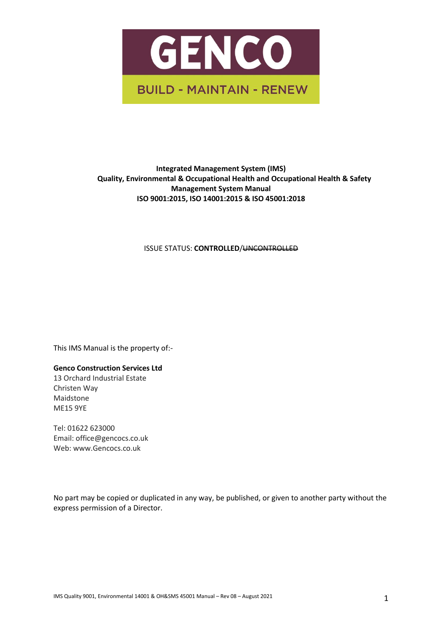

# **Integrated Management System (IMS) Quality, Environmental & Occupational Health and Occupational Health & Safety Management System Manual ISO 9001:2015, ISO 14001:2015 & ISO 45001:2018**

**ISSUE STATUS: CONTROLLED/<del>UNCONTROLLED</del>** 

This IMS Manual is the property of:-

**Genco Construction Services Ltd**

13 Orchard Industrial Estate Christen Way Maidstone ME15 9YE

Tel: 01622 623000 Email: office@gencocs.co.uk Web: www.Gencocs.co.uk

No part may be copied or duplicated in any way, be published, or given to another party without the express permission of a Director.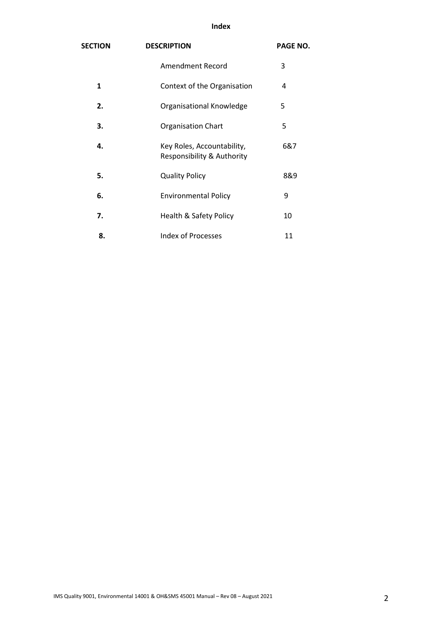# **Index**

| <b>SECTION</b> | <b>DESCRIPTION</b>                                       | <b>PAGE NO.</b> |
|----------------|----------------------------------------------------------|-----------------|
|                | <b>Amendment Record</b>                                  | 3               |
| $\mathbf{1}$   | Context of the Organisation                              | 4               |
| 2.             | Organisational Knowledge                                 | 5               |
| 3.             | <b>Organisation Chart</b>                                | 5               |
| 4.             | Key Roles, Accountability,<br>Responsibility & Authority | 6&7             |
| 5.             | <b>Quality Policy</b>                                    | 8&9             |
| 6.             | <b>Environmental Policy</b>                              | 9               |
| 7.             | Health & Safety Policy                                   | 10              |
| 8.             | <b>Index of Processes</b>                                | 11              |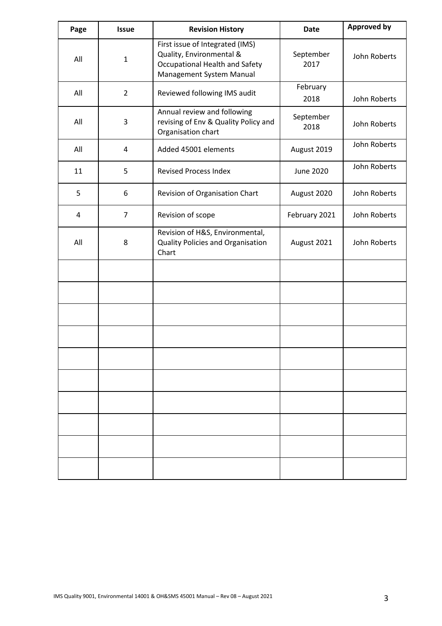| Page | <b>Issue</b>   | <b>Revision History</b>                                                                                                          | <b>Date</b>       | <b>Approved by</b> |
|------|----------------|----------------------------------------------------------------------------------------------------------------------------------|-------------------|--------------------|
| All  | $\mathbf{1}$   | First issue of Integrated (IMS)<br>Quality, Environmental &<br><b>Occupational Health and Safety</b><br>Management System Manual | September<br>2017 | John Roberts       |
| All  | $\overline{2}$ | Reviewed following IMS audit                                                                                                     | February<br>2018  | John Roberts       |
| All  | 3              | Annual review and following<br>revising of Env & Quality Policy and<br>Organisation chart                                        | September<br>2018 | John Roberts       |
| All  | 4              | Added 45001 elements                                                                                                             | August 2019       | John Roberts       |
| 11   | 5              | <b>Revised Process Index</b>                                                                                                     | <b>June 2020</b>  | John Roberts       |
| 5    | 6              | Revision of Organisation Chart                                                                                                   | August 2020       | John Roberts       |
| 4    | $\overline{7}$ | Revision of scope                                                                                                                | February 2021     | John Roberts       |
| All  | 8              | Revision of H&S, Environmental,<br>Quality Policies and Organisation<br>Chart                                                    | August 2021       | John Roberts       |
|      |                |                                                                                                                                  |                   |                    |
|      |                |                                                                                                                                  |                   |                    |
|      |                |                                                                                                                                  |                   |                    |
|      |                |                                                                                                                                  |                   |                    |
|      |                |                                                                                                                                  |                   |                    |
|      |                |                                                                                                                                  |                   |                    |
|      |                |                                                                                                                                  |                   |                    |
|      |                |                                                                                                                                  |                   |                    |
|      |                |                                                                                                                                  |                   |                    |
|      |                |                                                                                                                                  |                   |                    |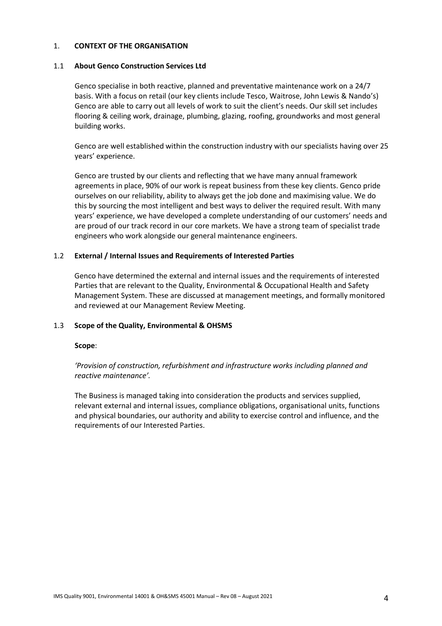## 1. **CONTEXT OF THE ORGANISATION**

### 1.1 **About Genco Construction Services Ltd**

Genco specialise in both reactive, planned and preventative maintenance work on a 24/7 basis. With a focus on retail (our key clients include Tesco, Waitrose, John Lewis & Nando's) Genco are able to carry out all levels of work to suit the client's needs. Our skill set includes flooring & ceiling work, drainage, plumbing, glazing, roofing, groundworks and most general building works.

Genco are well established within the construction industry with our specialists having over 25 years' experience.

Genco are trusted by our clients and reflecting that we have many annual framework agreements in place, 90% of our work is repeat business from these key clients. Genco pride ourselves on our reliability, ability to always get the job done and maximising value. We do this by sourcing the most intelligent and best ways to deliver the required result. With many years' experience, we have developed a complete understanding of our customers' needs and are proud of our track record in our core markets. We have a strong team of specialist trade engineers who work alongside our general maintenance engineers.

## 1.2 **External / Internal Issues and Requirements of Interested Parties**

Genco have determined the external and internal issues and the requirements of interested Parties that are relevant to the Quality, Environmental & Occupational Health and Safety Management System. These are discussed at management meetings, and formally monitored and reviewed at our Management Review Meeting.

# 1.3 **Scope of the Quality, Environmental & OHSMS**

#### **Scope**:

# *'Provision of construction, refurbishment and infrastructure works including planned and reactive maintenance'.*

The Business is managed taking into consideration the products and services supplied, relevant external and internal issues, compliance obligations, organisational units, functions and physical boundaries, our authority and ability to exercise control and influence, and the requirements of our Interested Parties.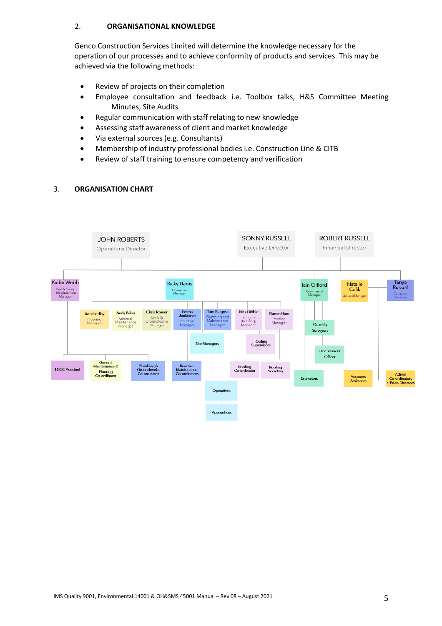# 2. **ORGANISATIONAL KNOWLEDGE**

Genco Construction Services Limited will determine the knowledge necessary for the operation of our processes and to achieve conformity of products and services. This may be achieved via the following methods:

- Review of projects on their completion
- Employee consultation and feedback i.e. Toolbox talks, H&S Committee Meeting Minutes, Site Audits
- Regular communication with staff relating to new knowledge
- Assessing staff awareness of client and market knowledge
- Via external sources (e.g. Consultants)
- Membership of industry professional bodies i.e. Construction Line & CITB
- Review of staff training to ensure competency and verification

# 3. **ORGANISATION CHART**

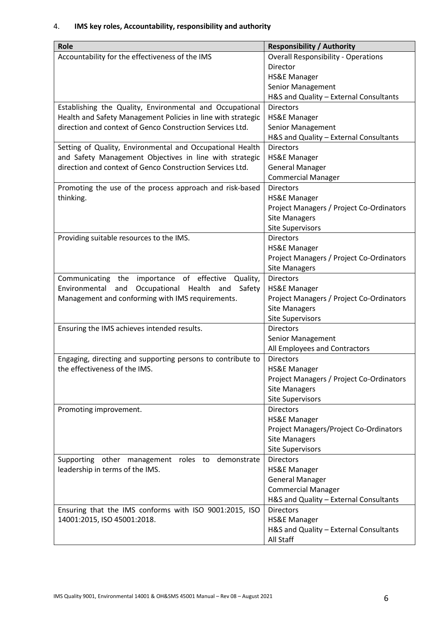# 4. **IMS key roles, Accountability, responsibility and authority**

| Role                                                         | <b>Responsibility / Authority</b>                          |
|--------------------------------------------------------------|------------------------------------------------------------|
| Accountability for the effectiveness of the IMS              | <b>Overall Responsibility - Operations</b>                 |
|                                                              | Director                                                   |
|                                                              | HS&E Manager                                               |
|                                                              | Senior Management                                          |
|                                                              | H&S and Quality - External Consultants                     |
| Establishing the Quality, Environmental and Occupational     | <b>Directors</b>                                           |
| Health and Safety Management Policies in line with strategic | <b>HS&amp;E Manager</b>                                    |
| direction and context of Genco Construction Services Ltd.    | Senior Management                                          |
|                                                              | H&S and Quality - External Consultants                     |
| Setting of Quality, Environmental and Occupational Health    | <b>Directors</b>                                           |
| and Safety Management Objectives in line with strategic      | <b>HS&amp;E Manager</b>                                    |
| direction and context of Genco Construction Services Ltd.    | <b>General Manager</b>                                     |
|                                                              | <b>Commercial Manager</b>                                  |
| Promoting the use of the process approach and risk-based     | <b>Directors</b>                                           |
| thinking.                                                    | <b>HS&amp;E Manager</b>                                    |
|                                                              | Project Managers / Project Co-Ordinators                   |
|                                                              | <b>Site Managers</b>                                       |
|                                                              | <b>Site Supervisors</b>                                    |
| Providing suitable resources to the IMS.                     | <b>Directors</b>                                           |
|                                                              | <b>HS&amp;E Manager</b>                                    |
|                                                              | Project Managers / Project Co-Ordinators                   |
|                                                              | <b>Site Managers</b>                                       |
| Communicating the importance of effective<br>Quality,        | <b>Directors</b>                                           |
| Environmental<br>and<br>Occupational Health<br>Safety<br>and | <b>HS&amp;E Manager</b>                                    |
| Management and conforming with IMS requirements.             | Project Managers / Project Co-Ordinators                   |
|                                                              | <b>Site Managers</b>                                       |
|                                                              | <b>Site Supervisors</b>                                    |
| Ensuring the IMS achieves intended results.                  | <b>Directors</b>                                           |
|                                                              | Senior Management                                          |
|                                                              | All Employees and Contractors                              |
| Engaging, directing and supporting persons to contribute to  | <b>Directors</b>                                           |
| the effectiveness of the IMS.                                | <b>HS&amp;E Manager</b>                                    |
|                                                              | Project Managers / Project Co-Ordinators                   |
|                                                              | <b>Site Managers</b>                                       |
|                                                              | <b>Site Supervisors</b>                                    |
| Promoting improvement.                                       | <b>Directors</b>                                           |
|                                                              | <b>HS&amp;E Manager</b>                                    |
|                                                              | Project Managers/Project Co-Ordinators                     |
|                                                              | <b>Site Managers</b>                                       |
|                                                              | <b>Site Supervisors</b>                                    |
| Supporting other management roles to demonstrate             | <b>Directors</b>                                           |
| leadership in terms of the IMS.                              | <b>HS&amp;E Manager</b>                                    |
|                                                              | <b>General Manager</b>                                     |
|                                                              | <b>Commercial Manager</b>                                  |
|                                                              | H&S and Quality - External Consultants<br><b>Directors</b> |
| Ensuring that the IMS conforms with ISO 9001:2015, ISO       |                                                            |
| 14001:2015, ISO 45001:2018.                                  | <b>HS&amp;E Manager</b>                                    |
|                                                              | H&S and Quality - External Consultants                     |
|                                                              | All Staff                                                  |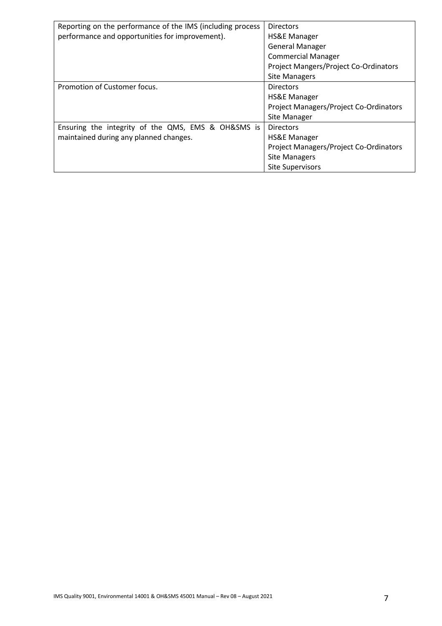| Reporting on the performance of the IMS (including process | <b>Directors</b>                             |
|------------------------------------------------------------|----------------------------------------------|
| performance and opportunities for improvement).            | <b>HS&amp;E Manager</b>                      |
|                                                            | <b>General Manager</b>                       |
|                                                            | <b>Commercial Manager</b>                    |
|                                                            | <b>Project Mangers/Project Co-Ordinators</b> |
|                                                            | <b>Site Managers</b>                         |
| Promotion of Customer focus.                               | <b>Directors</b>                             |
|                                                            | HS&E Manager                                 |
|                                                            | Project Managers/Project Co-Ordinators       |
|                                                            | Site Manager                                 |
| Ensuring the integrity of the QMS, EMS & OH&SMS is         | <b>Directors</b>                             |
| maintained during any planned changes.                     | <b>HS&amp;E Manager</b>                      |
|                                                            | Project Managers/Project Co-Ordinators       |
|                                                            | <b>Site Managers</b>                         |
|                                                            | <b>Site Supervisors</b>                      |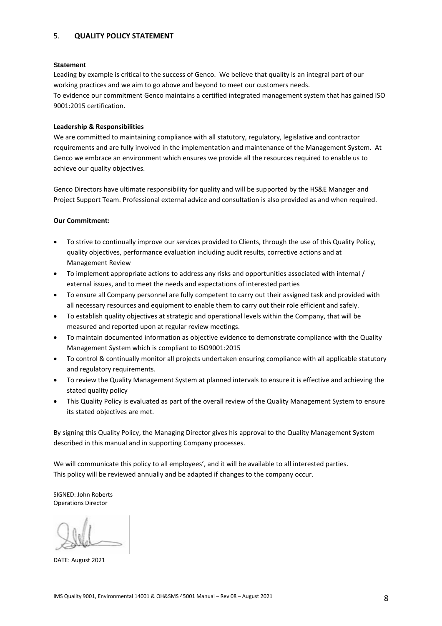# 5. **QUALITY POLICY STATEMENT**

#### **Statement**

Leading by example is critical to the success of Genco. We believe that quality is an integral part of our working practices and we aim to go above and beyond to meet our customers needs. To evidence our commitment Genco maintains a certified integrated management system that has gained ISO 9001:2015 certification.

#### **Leadership & Responsibilities**

We are committed to maintaining compliance with all statutory, regulatory, legislative and contractor requirements and are fully involved in the implementation and maintenance of the Management System. At Genco we embrace an environment which ensures we provide all the resources required to enable us to achieve our quality objectives.

Genco Directors have ultimate responsibility for quality and will be supported by the HS&E Manager and Project Support Team. Professional external advice and consultation is also provided as and when required.

#### **Our Commitment:**

- To strive to continually improve our services provided to Clients, through the use of this Quality Policy, quality objectives, performance evaluation including audit results, corrective actions and at Management Review
- To implement appropriate actions to address any risks and opportunities associated with internal / external issues, and to meet the needs and expectations of interested parties
- To ensure all Company personnel are fully competent to carry out their assigned task and provided with all necessary resources and equipment to enable them to carry out their role efficient and safely.
- To establish quality objectives at strategic and operational levels within the Company, that will be measured and reported upon at regular review meetings.
- To maintain documented information as objective evidence to demonstrate compliance with the Quality Management System which is compliant to ISO9001:2015
- To control & continually monitor all projects undertaken ensuring compliance with all applicable statutory and regulatory requirements.
- To review the Quality Management System at planned intervals to ensure it is effective and achieving the stated quality policy
- This Quality Policy is evaluated as part of the overall review of the Quality Management System to ensure its stated objectives are met.

By signing this Quality Policy, the Managing Director gives his approval to the Quality Management System described in this manual and in supporting Company processes.

We will communicate this policy to all employees', and it will be available to all interested parties. This policy will be reviewed annually and be adapted if changes to the company occur.

SIGNED: John Roberts Operations Director

DATE: August 2021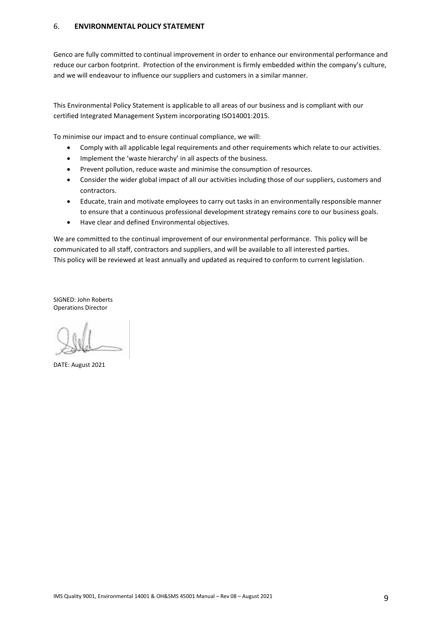## 6. **ENVIRONMENTAL POLICY STATEMENT**

Genco are fully committed to continual improvement in order to enhance our environmental performance and reduce our carbon footprint. Protection of the environment is firmly embedded within the company's culture, and we will endeavour to influence our suppliers and customers in a similar manner.

This Environmental Policy Statement is applicable to all areas of our business and is compliant with our certified Integrated Management System incorporating ISO14001:2015.

To minimise our impact and to ensure continual compliance, we will:

- Comply with all applicable legal requirements and other requirements which relate to our activities.
- Implement the 'waste hierarchy' in all aspects of the business.
- Prevent pollution, reduce waste and minimise the consumption of resources.
- Consider the wider global impact of all our activities including those of our suppliers, customers and contractors.
- Educate, train and motivate employees to carry out tasks in an environmentally responsible manner to ensure that a continuous professional development strategy remains core to our business goals.
- Have clear and defined Environmental objectives.

We are committed to the continual improvement of our environmental performance. This policy will be communicated to all staff, contractors and suppliers, and will be available to all interested parties. This policy will be reviewed at least annually and updated as required to conform to current legislation.

SIGNED: John Roberts Operations Director

DATE: August 2021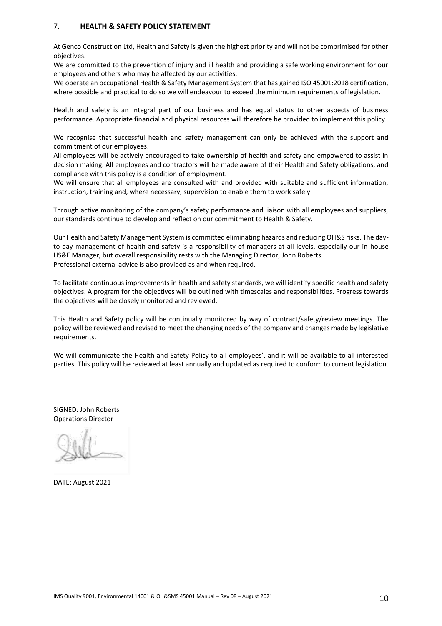## 7. **HEALTH & SAFETY POLICY STATEMENT**

At Genco Construction Ltd, Health and Safety is given the highest priority and will not be comprimised for other objectives.

We are committed to the prevention of injury and ill health and providing a safe working environment for our employees and others who may be affected by our activities.

We operate an occupational Health & Safety Management System that has gained ISO 45001:2018 certification, where possible and practical to do so we will endeavour to exceed the minimum requirements of legislation.

Health and safety is an integral part of our business and has equal status to other aspects of business performance. Appropriate financial and physical resources will therefore be provided to implement this policy.

We recognise that successful health and safety management can only be achieved with the support and commitment of our employees.

All employees will be actively encouraged to take ownership of health and safety and empowered to assist in decision making. All employees and contractors will be made aware of their Health and Safety obligations, and compliance with this policy is a condition of employment.

We will ensure that all employees are consulted with and provided with suitable and sufficient information, instruction, training and, where necessary, supervision to enable them to work safely.

Through active monitoring of the company's safety performance and liaison with all employees and suppliers, our standards continue to develop and reflect on our commitment to Health & Safety.

Our Health and Safety Management System is committed eliminating hazards and reducing OH&S risks. The dayto-day management of health and safety is a responsibility of managers at all levels, especially our in-house HS&E Manager, but overall responsibility rests with the Managing Director, John Roberts. Professional external advice is also provided as and when required.

To facilitate continuous improvements in health and safety standards, we will identify specific health and safety objectives. A program for the objectives will be outlined with timescales and responsibilities. Progress towards the objectives will be closely monitored and reviewed.

This Health and Safety policy will be continually monitored by way of contract/safety/review meetings. The policy will be reviewed and revised to meet the changing needs of the company and changes made by legislative requirements.

We will communicate the Health and Safety Policy to all employees', and it will be available to all interested parties. This policy will be reviewed at least annually and updated as required to conform to current legislation.

SIGNED: John Roberts Operations Director

DATE: August 2021